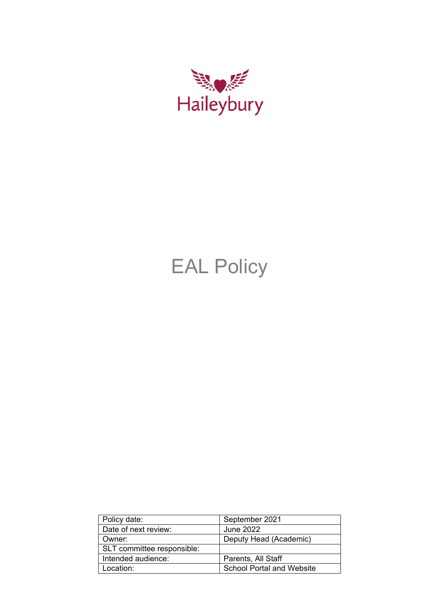

# EAL Policy

| Policy date:               | September 2021                   |  |
|----------------------------|----------------------------------|--|
| Date of next review:       | June 2022                        |  |
| Owner:                     | Deputy Head (Academic)           |  |
| SLT committee responsible: |                                  |  |
| Intended audience:         | Parents, All Staff               |  |
| Location:                  | <b>School Portal and Website</b> |  |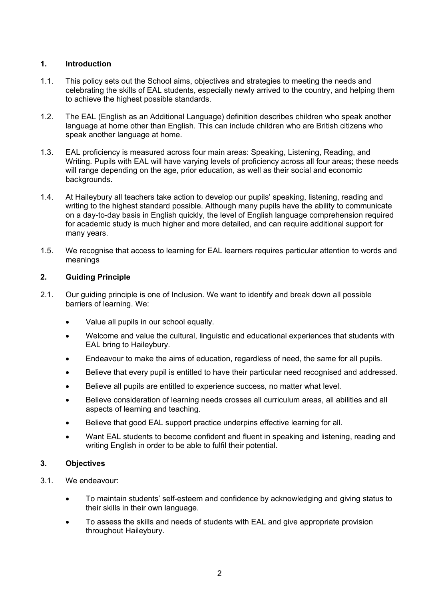# **1. Introduction**

- 1.1. This policy sets out the School aims, objectives and strategies to meeting the needs and celebrating the skills of EAL students, especially newly arrived to the country, and helping them to achieve the highest possible standards.
- 1.2. The EAL (English as an Additional Language) definition describes children who speak another language at home other than English. This can include children who are British citizens who speak another language at home.
- 1.3. EAL proficiency is measured across four main areas: Speaking, Listening, Reading, and Writing. Pupils with EAL will have varying levels of proficiency across all four areas; these needs will range depending on the age, prior education, as well as their social and economic backgrounds.
- 1.4. At Haileybury all teachers take action to develop our pupils' speaking, listening, reading and writing to the highest standard possible. Although many pupils have the ability to communicate on a day-to-day basis in English quickly, the level of English language comprehension required for academic study is much higher and more detailed, and can require additional support for many years.
- 1.5. We recognise that access to learning for EAL learners requires particular attention to words and meanings

## **2. Guiding Principle**

- 2.1. Our guiding principle is one of Inclusion. We want to identify and break down all possible barriers of learning. We:
	- Value all pupils in our school equally.
	- Welcome and value the cultural, linguistic and educational experiences that students with EAL bring to Haileybury.
	- Endeavour to make the aims of education, regardless of need, the same for all pupils.
	- Believe that every pupil is entitled to have their particular need recognised and addressed.
	- Believe all pupils are entitled to experience success, no matter what level.
	- Believe consideration of learning needs crosses all curriculum areas, all abilities and all aspects of learning and teaching.
	- Believe that good EAL support practice underpins effective learning for all.
	- Want EAL students to become confident and fluent in speaking and listening, reading and writing English in order to be able to fulfil their potential.

### **3. Objectives**

- 3.1. We endeavour:
	- To maintain students' self-esteem and confidence by acknowledging and giving status to their skills in their own language.
	- To assess the skills and needs of students with EAL and give appropriate provision throughout Haileybury.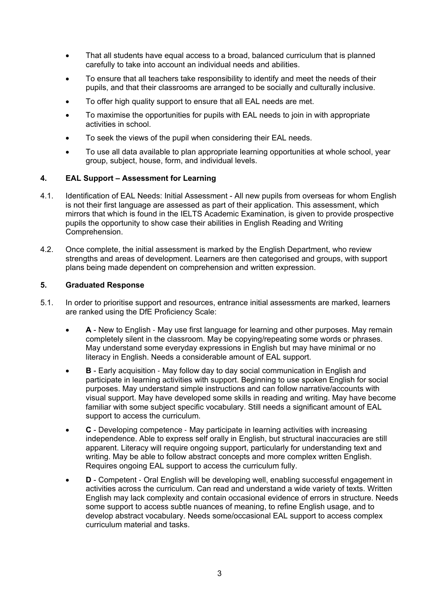- That all students have equal access to a broad, balanced curriculum that is planned carefully to take into account an individual needs and abilities.
- To ensure that all teachers take responsibility to identify and meet the needs of their pupils, and that their classrooms are arranged to be socially and culturally inclusive.
- To offer high quality support to ensure that all EAL needs are met.
- To maximise the opportunities for pupils with EAL needs to join in with appropriate activities in school.
- To seek the views of the pupil when considering their EAL needs.
- To use all data available to plan appropriate learning opportunities at whole school, year group, subject, house, form, and individual levels.

### **4. EAL Support – Assessment for Learning**

- 4.1. Identification of EAL Needs: Initial Assessment All new pupils from overseas for whom English is not their first language are assessed as part of their application. This assessment, which mirrors that which is found in the IELTS Academic Examination, is given to provide prospective pupils the opportunity to show case their abilities in English Reading and Writing Comprehension.
- 4.2. Once complete, the initial assessment is marked by the English Department, who review strengths and areas of development. Learners are then categorised and groups, with support plans being made dependent on comprehension and written expression.

## **5. Graduated Response**

- 5.1. In order to prioritise support and resources, entrance initial assessments are marked, learners are ranked using the DfE Proficiency Scale:
	- **A** New to English ‐ May use first language for learning and other purposes. May remain completely silent in the classroom. May be copying/repeating some words or phrases. May understand some everyday expressions in English but may have minimal or no literacy in English. Needs a considerable amount of EAL support.
	- **B** Early acquisition May follow day to day social communication in English and participate in learning activities with support. Beginning to use spoken English for social purposes. May understand simple instructions and can follow narrative/accounts with visual support. May have developed some skills in reading and writing. May have become familiar with some subject specific vocabulary. Still needs a significant amount of EAL support to access the curriculum.
	- **C** Developing competence ‐ May participate in learning activities with increasing independence. Able to express self orally in English, but structural inaccuracies are still apparent. Literacy will require ongoing support, particularly for understanding text and writing. May be able to follow abstract concepts and more complex written English. Requires ongoing EAL support to access the curriculum fully.
	- **D** Competent ‐ Oral English will be developing well, enabling successful engagement in activities across the curriculum. Can read and understand a wide variety of texts. Written English may lack complexity and contain occasional evidence of errors in structure. Needs some support to access subtle nuances of meaning, to refine English usage, and to develop abstract vocabulary. Needs some/occasional EAL support to access complex curriculum material and tasks.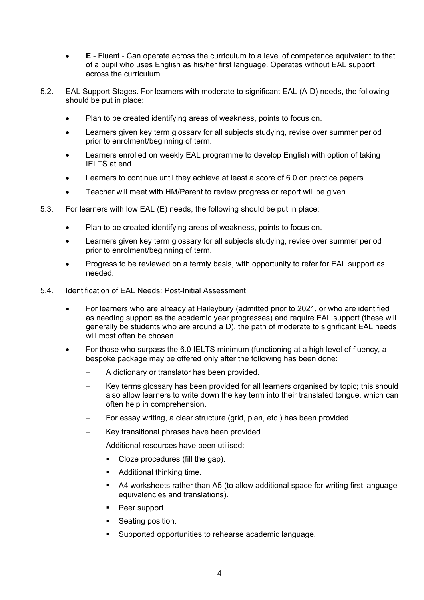- **E** Fluent ‐ Can operate across the curriculum to a level of competence equivalent to that of a pupil who uses English as his/her first language. Operates without EAL support across the curriculum.
- 5.2. EAL Support Stages. For learners with moderate to significant EAL (A-D) needs, the following should be put in place:
	- Plan to be created identifying areas of weakness, points to focus on.
	- Learners given key term glossary for all subjects studying, revise over summer period prior to enrolment/beginning of term.
	- Learners enrolled on weekly EAL programme to develop English with option of taking IELTS at end.
	- Learners to continue until they achieve at least a score of 6.0 on practice papers.
	- Teacher will meet with HM/Parent to review progress or report will be given
- 5.3. For learners with low EAL (E) needs, the following should be put in place:
	- Plan to be created identifying areas of weakness, points to focus on.
	- Learners given key term glossary for all subjects studying, revise over summer period prior to enrolment/beginning of term.
	- Progress to be reviewed on a termly basis, with opportunity to refer for EAL support as needed.
- 5.4. Identification of EAL Needs: Post-Initial Assessment
	- For learners who are already at Haileybury (admitted prior to 2021, or who are identified as needing support as the academic year progresses) and require EAL support (these will generally be students who are around a D), the path of moderate to significant EAL needs will most often be chosen.
	- For those who surpass the 6.0 IELTS minimum (functioning at a high level of fluency, a bespoke package may be offered only after the following has been done:
		- − A dictionary or translator has been provided.
		- − Key terms glossary has been provided for all learners organised by topic; this should also allow learners to write down the key term into their translated tongue, which can often help in comprehension.
		- For essay writing, a clear structure (grid, plan, etc.) has been provided.
		- − Key transitional phrases have been provided.
		- − Additional resources have been utilised:
			- Cloze procedures (fill the gap).
			- Additional thinking time.
			- A4 worksheets rather than A5 (to allow additional space for writing first language equivalencies and translations).
			- Peer support.
			- Seating position.
			- Supported opportunities to rehearse academic language.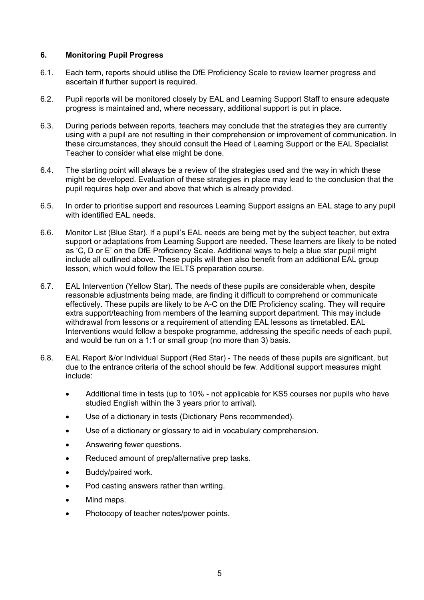## **6. Monitoring Pupil Progress**

- 6.1. Each term, reports should utilise the DfE Proficiency Scale to review learner progress and ascertain if further support is required.
- 6.2. Pupil reports will be monitored closely by EAL and Learning Support Staff to ensure adequate progress is maintained and, where necessary, additional support is put in place.
- 6.3. During periods between reports, teachers may conclude that the strategies they are currently using with a pupil are not resulting in their comprehension or improvement of communication. In these circumstances, they should consult the Head of Learning Support or the EAL Specialist Teacher to consider what else might be done.
- 6.4. The starting point will always be a review of the strategies used and the way in which these might be developed. Evaluation of these strategies in place may lead to the conclusion that the pupil requires help over and above that which is already provided.
- 6.5. In order to prioritise support and resources Learning Support assigns an EAL stage to any pupil with identified EAL needs.
- 6.6. Monitor List (Blue Star). If a pupil's EAL needs are being met by the subject teacher, but extra support or adaptations from Learning Support are needed. These learners are likely to be noted as 'C, D or E' on the DfE Proficiency Scale. Additional ways to help a blue star pupil might include all outlined above. These pupils will then also benefit from an additional EAL group lesson, which would follow the IELTS preparation course.
- 6.7. EAL Intervention (Yellow Star). The needs of these pupils are considerable when, despite reasonable adjustments being made, are finding it difficult to comprehend or communicate effectively. These pupils are likely to be A-C on the DfE Proficiency scaling. They will require extra support/teaching from members of the learning support department. This may include withdrawal from lessons or a requirement of attending EAL lessons as timetabled. EAL Interventions would follow a bespoke programme, addressing the specific needs of each pupil, and would be run on a 1:1 or small group (no more than 3) basis.
- 6.8. EAL Report &/or Individual Support (Red Star) The needs of these pupils are significant, but due to the entrance criteria of the school should be few. Additional support measures might include:
	- Additional time in tests (up to 10% not applicable for KS5 courses nor pupils who have studied English within the 3 years prior to arrival).
	- Use of a dictionary in tests (Dictionary Pens recommended).
	- Use of a dictionary or glossary to aid in vocabulary comprehension.
	- Answering fewer questions.
	- Reduced amount of prep/alternative prep tasks.
	- Buddy/paired work.
	- Pod casting answers rather than writing.
	- Mind maps.
	- Photocopy of teacher notes/power points.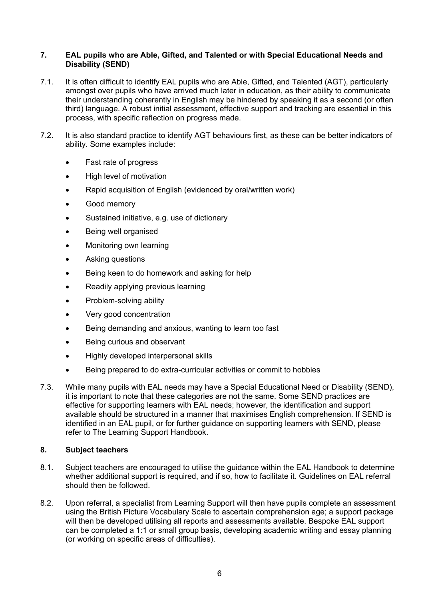#### **7. EAL pupils who are Able, Gifted, and Talented or with Special Educational Needs and Disability (SEND)**

- 7.1. It is often difficult to identify EAL pupils who are Able, Gifted, and Talented (AGT), particularly amongst over pupils who have arrived much later in education, as their ability to communicate their understanding coherently in English may be hindered by speaking it as a second (or often third) language. A robust initial assessment, effective support and tracking are essential in this process, with specific reflection on progress made.
- 7.2. It is also standard practice to identify AGT behaviours first, as these can be better indicators of ability. Some examples include:
	- Fast rate of progress
	- High level of motivation
	- Rapid acquisition of English (evidenced by oral/written work)
	- Good memory
	- Sustained initiative, e.g. use of dictionary
	- Being well organised
	- Monitoring own learning
	- Asking questions
	- Being keen to do homework and asking for help
	- Readily applying previous learning
	- Problem-solving ability
	- Very good concentration
	- Being demanding and anxious, wanting to learn too fast
	- Being curious and observant
	- Highly developed interpersonal skills
	- Being prepared to do extra-curricular activities or commit to hobbies
- 7.3. While many pupils with EAL needs may have a Special Educational Need or Disability (SEND), it is important to note that these categories are not the same. Some SEND practices are effective for supporting learners with EAL needs; however, the identification and support available should be structured in a manner that maximises English comprehension. If SEND is identified in an EAL pupil, or for further guidance on supporting learners with SEND, please refer to The Learning Support Handbook.

### **8. Subject teachers**

- 8.1. Subject teachers are encouraged to utilise the guidance within the EAL Handbook to determine whether additional support is required, and if so, how to facilitate it. Guidelines on EAL referral should then be followed.
- 8.2. Upon referral, a specialist from Learning Support will then have pupils complete an assessment using the British Picture Vocabulary Scale to ascertain comprehension age; a support package will then be developed utilising all reports and assessments available. Bespoke EAL support can be completed a 1:1 or small group basis, developing academic writing and essay planning (or working on specific areas of difficulties).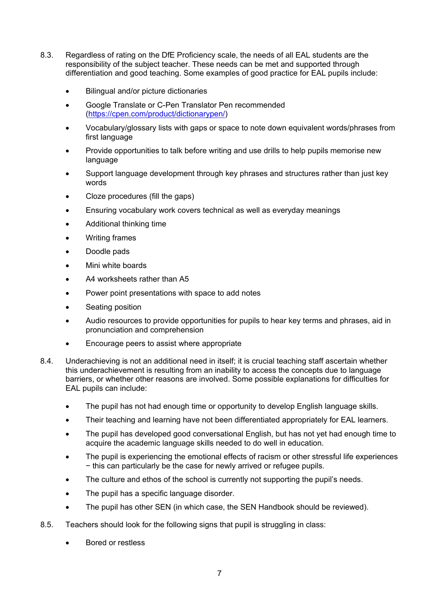- 8.3. Regardless of rating on the DfE Proficiency scale, the needs of all EAL students are the responsibility of the subject teacher. These needs can be met and supported through differentiation and good teaching. Some examples of good practice for EAL pupils include:
	- Bilingual and/or picture dictionaries
	- Google Translate or C-Pen Translator Pen recommended [\(https://cpen.com/product/dictionarypen/\)](https://cpen.com/product/dictionarypen/)
	- Vocabulary/glossary lists with gaps or space to note down equivalent words/phrases from first language
	- Provide opportunities to talk before writing and use drills to help pupils memorise new language
	- Support language development through key phrases and structures rather than just key words
	- Cloze procedures (fill the gaps)
	- Ensuring vocabulary work covers technical as well as everyday meanings
	- Additional thinking time
	- Writing frames
	- Doodle pads
	- Mini white boards
	- A4 worksheets rather than A5
	- Power point presentations with space to add notes
	- Seating position
	- Audio resources to provide opportunities for pupils to hear key terms and phrases, aid in pronunciation and comprehension
	- Encourage peers to assist where appropriate
- 8.4. Underachieving is not an additional need in itself; it is crucial teaching staff ascertain whether this underachievement is resulting from an inability to access the concepts due to language barriers, or whether other reasons are involved. Some possible explanations for difficulties for EAL pupils can include:
	- The pupil has not had enough time or opportunity to develop English language skills.
	- Their teaching and learning have not been differentiated appropriately for EAL learners.
	- The pupil has developed good conversational English, but has not yet had enough time to acquire the academic language skills needed to do well in education.
	- The pupil is experiencing the emotional effects of racism or other stressful life experiences − this can particularly be the case for newly arrived or refugee pupils.
	- The culture and ethos of the school is currently not supporting the pupil's needs.
	- The pupil has a specific language disorder.
	- The pupil has other SEN (in which case, the SEN Handbook should be reviewed).
- 8.5. Teachers should look for the following signs that pupil is struggling in class:
	- Bored or restless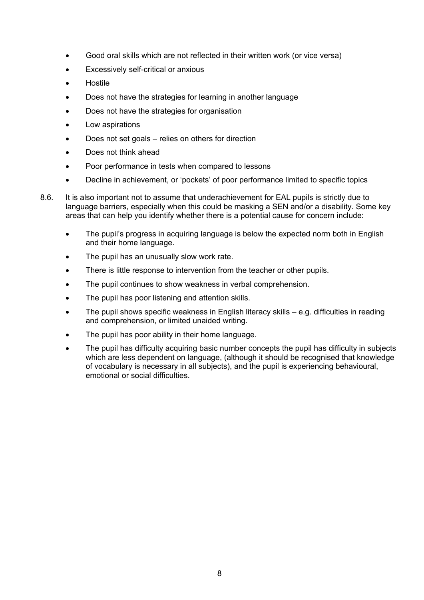- Good oral skills which are not reflected in their written work (or vice versa)
- Excessively self-critical or anxious
- Hostile
- Does not have the strategies for learning in another language
- Does not have the strategies for organisation
- Low aspirations
- Does not set goals relies on others for direction
- Does not think ahead
- Poor performance in tests when compared to lessons
- Decline in achievement, or 'pockets' of poor performance limited to specific topics
- 8.6. It is also important not to assume that underachievement for EAL pupils is strictly due to language barriers, especially when this could be masking a SEN and/or a disability. Some key areas that can help you identify whether there is a potential cause for concern include:
	- The pupil's progress in acquiring language is below the expected norm both in English and their home language.
	- The pupil has an unusually slow work rate.
	- There is little response to intervention from the teacher or other pupils.
	- The pupil continues to show weakness in verbal comprehension.
	- The pupil has poor listening and attention skills.
	- The pupil shows specific weakness in English literacy skills  $-$  e.g. difficulties in reading and comprehension, or limited unaided writing.
	- The pupil has poor ability in their home language.
	- The pupil has difficulty acquiring basic number concepts the pupil has difficulty in subjects which are less dependent on language, (although it should be recognised that knowledge of vocabulary is necessary in all subjects), and the pupil is experiencing behavioural, emotional or social difficulties.